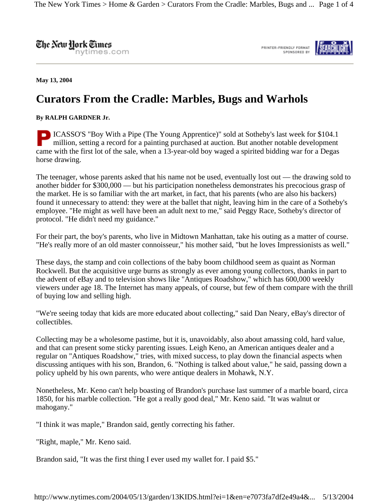## The New Hork Times

nytimes.com

PRINTER-FRIENDLY FORMAT SPONSORED BY



**May 13, 2004** 

## **Curators From the Cradle: Marbles, Bugs and Warhols**

## **By RALPH GARDNER Jr.**

ICASSO'S "Boy With a Pipe (The Young Apprentice)" sold at Sotheby's last week for \$104.1 million, setting a record for a painting purchased at auction. But another notable development came with the first lot of the sale, when a 13-year-old boy waged a spirited bidding war for a Degas horse drawing.

The teenager, whose parents asked that his name not be used, eventually lost out — the drawing sold to another bidder for \$300,000 — but his participation nonetheless demonstrates his precocious grasp of the market. He is so familiar with the art market, in fact, that his parents (who are also his backers) found it unnecessary to attend: they were at the ballet that night, leaving him in the care of a Sotheby's employee. "He might as well have been an adult next to me," said Peggy Race, Sotheby's director of protocol. "He didn't need my guidance."

For their part, the boy's parents, who live in Midtown Manhattan, take his outing as a matter of course. "He's really more of an old master connoisseur," his mother said, "but he loves Impressionists as well."

These days, the stamp and coin collections of the baby boom childhood seem as quaint as Norman Rockwell. But the acquisitive urge burns as strongly as ever among young collectors, thanks in part to the advent of eBay and to television shows like "Antiques Roadshow," which has 600,000 weekly viewers under age 18. The Internet has many appeals, of course, but few of them compare with the thrill of buying low and selling high.

"We're seeing today that kids are more educated about collecting," said Dan Neary, eBay's director of collectibles.

Collecting may be a wholesome pastime, but it is, unavoidably, also about amassing cold, hard value, and that can present some sticky parenting issues. Leigh Keno, an American antiques dealer and a regular on "Antiques Roadshow," tries, with mixed success, to play down the financial aspects when discussing antiques with his son, Brandon, 6. "Nothing is talked about value," he said, passing down a policy upheld by his own parents, who were antique dealers in Mohawk, N.Y.

Nonetheless, Mr. Keno can't help boasting of Brandon's purchase last summer of a marble board, circa 1850, for his marble collection. "He got a really good deal," Mr. Keno said. "It was walnut or mahogany."

"I think it was maple," Brandon said, gently correcting his father.

"Right, maple," Mr. Keno said.

Brandon said, "It was the first thing I ever used my wallet for. I paid \$5."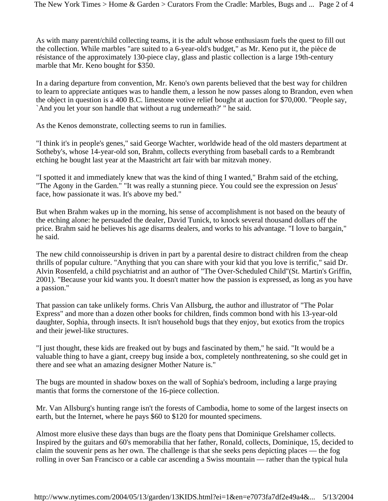As with many parent/child collecting teams, it is the adult whose enthusiasm fuels the quest to fill out the collection. While marbles "are suited to a 6-year-old's budget," as Mr. Keno put it, the pièce de résistance of the approximately 130-piece clay, glass and plastic collection is a large 19th-century marble that Mr. Keno bought for \$350.

In a daring departure from convention, Mr. Keno's own parents believed that the best way for children to learn to appreciate antiques was to handle them, a lesson he now passes along to Brandon, even when the object in question is a 400 B.C. limestone votive relief bought at auction for \$70,000. "People say, `And you let your son handle that without a rug underneath?' " he said.

As the Kenos demonstrate, collecting seems to run in families.

"I think it's in people's genes," said George Wachter, worldwide head of the old masters department at Sotheby's, whose 14-year-old son, Brahm, collects everything from baseball cards to a Rembrandt etching he bought last year at the Maastricht art fair with bar mitzvah money.

"I spotted it and immediately knew that was the kind of thing I wanted," Brahm said of the etching, "The Agony in the Garden." "It was really a stunning piece. You could see the expression on Jesus' face, how passionate it was. It's above my bed."

But when Brahm wakes up in the morning, his sense of accomplishment is not based on the beauty of the etching alone: he persuaded the dealer, David Tunick, to knock several thousand dollars off the price. Brahm said he believes his age disarms dealers, and works to his advantage. "I love to bargain," he said.

The new child connoisseurship is driven in part by a parental desire to distract children from the cheap thrills of popular culture. "Anything that you can share with your kid that you love is terrific," said Dr. Alvin Rosenfeld, a child psychiatrist and an author of "The Over-Scheduled Child"(St. Martin's Griffin, 2001). "Because your kid wants you. It doesn't matter how the passion is expressed, as long as you have a passion."

That passion can take unlikely forms. Chris Van Allsburg, the author and illustrator of "The Polar Express" and more than a dozen other books for children, finds common bond with his 13-year-old daughter, Sophia, through insects. It isn't household bugs that they enjoy, but exotics from the tropics and their jewel-like structures.

"I just thought, these kids are freaked out by bugs and fascinated by them," he said. "It would be a valuable thing to have a giant, creepy bug inside a box, completely nonthreatening, so she could get in there and see what an amazing designer Mother Nature is."

The bugs are mounted in shadow boxes on the wall of Sophia's bedroom, including a large praying mantis that forms the cornerstone of the 16-piece collection.

Mr. Van Allsburg's hunting range isn't the forests of Cambodia, home to some of the largest insects on earth, but the Internet, where he pays \$60 to \$120 for mounted specimens.

Almost more elusive these days than bugs are the floaty pens that Dominique Grelshamer collects. Inspired by the guitars and 60's memorabilia that her father, Ronald, collects, Dominique, 15, decided to claim the souvenir pens as her own. The challenge is that she seeks pens depicting places — the fog rolling in over San Francisco or a cable car ascending a Swiss mountain — rather than the typical hula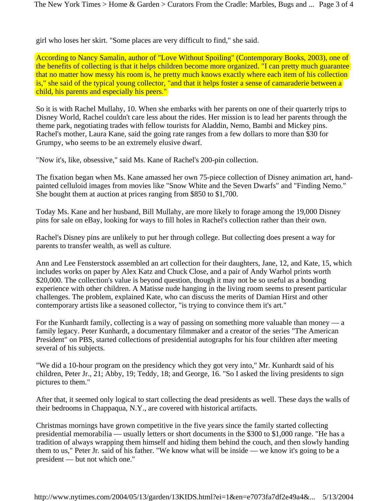girl who loses her skirt. "Some places are very difficult to find," she said.

According to Nancy Samalin, author of "Love Without Spoiling" (Contemporary Books, 2003), one of the benefits of collecting is that it helps children become more organized. "I can pretty much guarantee that no matter how messy his room is, he pretty much knows exactly where each item of his collection is," she said of the typical young collector, "and that it helps foster a sense of camaraderie between a child, his parents and especially his peers."

So it is with Rachel Mullahy, 10. When she embarks with her parents on one of their quarterly trips to Disney World, Rachel couldn't care less about the rides. Her mission is to lead her parents through the theme park, negotiating trades with fellow tourists for Aladdin, Nemo, Bambi and Mickey pins. Rachel's mother, Laura Kane, said the going rate ranges from a few dollars to more than \$30 for Grumpy, who seems to be an extremely elusive dwarf.

"Now it's, like, obsessive," said Ms. Kane of Rachel's 200-pin collection.

The fixation began when Ms. Kane amassed her own 75-piece collection of Disney animation art, handpainted celluloid images from movies like "Snow White and the Seven Dwarfs" and "Finding Nemo." She bought them at auction at prices ranging from \$850 to \$1,700.

Today Ms. Kane and her husband, Bill Mullahy, are more likely to forage among the 19,000 Disney pins for sale on eBay, looking for ways to fill holes in Rachel's collection rather than their own.

Rachel's Disney pins are unlikely to put her through college. But collecting does present a way for parents to transfer wealth, as well as culture.

Ann and Lee Fensterstock assembled an art collection for their daughters, Jane, 12, and Kate, 15, which includes works on paper by Alex Katz and Chuck Close, and a pair of Andy Warhol prints worth \$20,000. The collection's value is beyond question, though it may not be so useful as a bonding experience with other children. A Matisse nude hanging in the living room seems to present particular challenges. The problem, explained Kate, who can discuss the merits of Damian Hirst and other contemporary artists like a seasoned collector, "is trying to convince them it's art."

For the Kunhardt family, collecting is a way of passing on something more valuable than money — a family legacy. Peter Kunhardt, a documentary filmmaker and a creator of the series "The American President" on PBS, started collections of presidential autographs for his four children after meeting several of his subjects.

"We did a 10-hour program on the presidency which they got very into," Mr. Kunhardt said of his children, Peter Jr., 21; Abby, 19; Teddy, 18; and George, 16. "So I asked the living presidents to sign pictures to them."

After that, it seemed only logical to start collecting the dead presidents as well. These days the walls of their bedrooms in Chappaqua, N.Y., are covered with historical artifacts.

Christmas mornings have grown competitive in the five years since the family started collecting presidential memorabilia — usually letters or short documents in the \$300 to \$1,000 range. "He has a tradition of always wrapping them himself and hiding them behind the couch, and then slowly handing them to us," Peter Jr. said of his father. "We know what will be inside — we know it's going to be a president — but not which one."